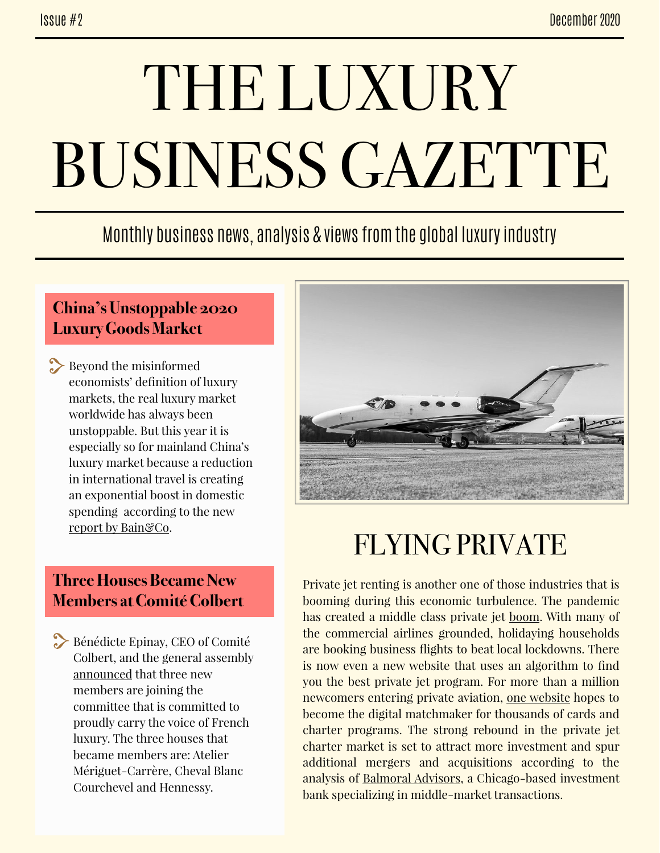# THE LUXURY BUSINESS GAZETTE

## Monthly business news, analysis & views from the global luxury industry

#### **China's Unstoppable 2020 Luxury Goods Market**

Beyond the misinformed economists' definition of luxury markets, the real luxury market worldwide has always been unstoppable. But this year it is especially so for mainland China's luxury market because a reduction in international travel is creating an exponential boost in domestic spending according to the new [report by Bain&Co](https://www.bain.com/insights/chinas-unstoppable-2020-luxury-market/?_lrsc=a5f1b993-78ec-4871-bae4-feaff784f1a7&utm_source=Elevate_LinkedIn&utm_medium=social&utm_campaign=LinkedIn).

#### **Three Houses Became New Members at Comité Colbert**

Bénédicte Epinay, CEO of Comité Colbert, and the general assembly [announced](https://www.linkedin.com/posts/b%C3%A9n%C3%A9dicte-epinay-005a9019_3-members-are-joining-the-comit%C3%A9-colbert-ugcPost-6739484192343760896-NUBo) that three new members are joining the committee that is committed to proudly carry the voice of French luxury. The three houses that became members are: Atelier Mériguet-Carrère, Cheval Blanc Courchevel and Hennessy.



# FLYING PRIVATE

Private jet renting is another one of those industries that is booming during this economic turbulence. The pandemic has created a middle class private jet [boom](https://www.wired.co.uk/article/coronavirus-planes-bonanza). With many of the commercial airlines grounded, holidaying households are booking business flights to beat local lockdowns. There is now even a new website that uses an algorithm to find you the best private jet program. For more than a million newcomers entering private aviation, [one website](https://robbreport.com/motors/aviation/choosing-the-best-private-jet-card-new-programs-1234583715/) hopes to become the digital matchmaker for thousands of cards and charter programs. The strong rebound in the private jet charter market is set to attract more investment and spur additional mergers and acquisitions according to the analysis of [Balmoral Advisors](https://www.forbes.com/sites/douggollan/2020/11/05/private-aviations-strong-rebound-may-mean-more-mergers-and-investment/?sh=2fcfc826777f), a Chicago-based investment bank specializing in middle-market transactions.